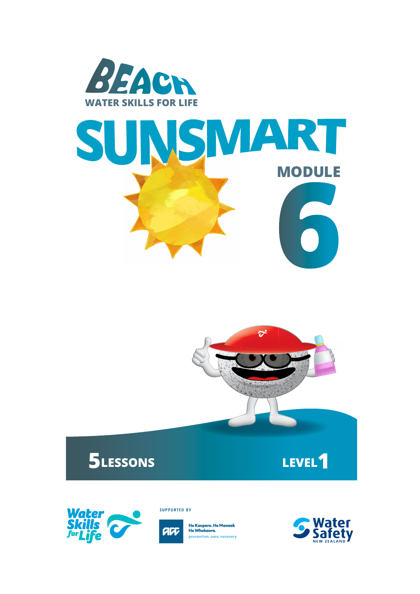



# **5LESSONS LEVEL1**



**SUPPORTED BY** 



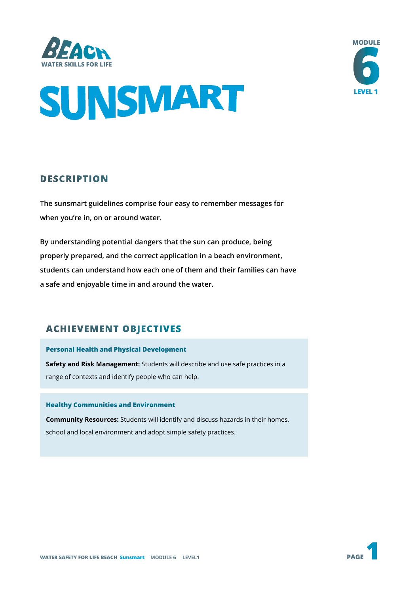





## **DESCRIPTION**

**The sunsmart guidelines comprise four easy to remember messages for when you're in, on or around water.** 

**By understanding potential dangers that the sun can produce, being properly prepared, and the correct application in a beach environment, students can understand how each one of them and their families can have a safe and enjoyable time in and around the water.**

## **ACHIEVEMENT OBJECTIVES**

### **Personal Health and Physical Development**

**Safety and Risk Management:** Students will describe and use safe practices in a range of contexts and identify people who can help.

#### **Healthy Communities and Environment**

**Community Resources:** Students will identify and discuss hazards in their homes, school and local environment and adopt simple safety practices.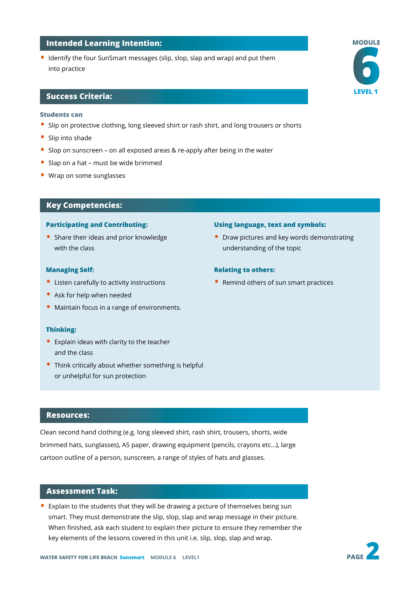#### **Intended Learning Intention:**

• Identify the four SunSmart messages (slip, slop, slap and wrap) and put them into practice

#### **Success Criteria:**

#### **Students can**

- Slip on protective clothing, long sleeved shirt or rash shirt, and long trousers or shorts
- Slip into shade
- Slop on sunscreen on all exposed areas & re-apply after being in the water
- Slap on a hat must be wide brimmed
- Wrap on some sunglasses

#### **Key Competencies:**

#### **Participating and Contributing:**

• Share their ideas and prior knowledge with the class

#### **Managing Self:**

- Listen carefully to activity instructions
- Ask for help when needed
- Maintain focus in a range of environments.

#### **Thinking:**

- Explain ideas with clarity to the teacher and the class
- Think critically about whether something is helpful or unhelpful for sun protection

#### **Resources:**

Clean second hand clothing (e.g. long sleeved shirt, rash shirt, trousers, shorts, wide brimmed hats, sunglasses), A5 paper, drawing equipment (pencils, crayons etc…), large cartoon outline of a person, sunscreen, a range of styles of hats and glasses.

#### **Assessment Task:**

• Explain to the students that they will be drawing a picture of themselves being sun smart. They must demonstrate the slip, slop, slap and wrap message in their picture. When finished, ask each student to explain their picture to ensure they remember the key elements of the lessons covered in this unit i.e. slip, slop, slap and wrap.



• Draw pictures and key words demonstrating understanding of the topic

#### **Relating to others:**

• Remind others of sun smart practices



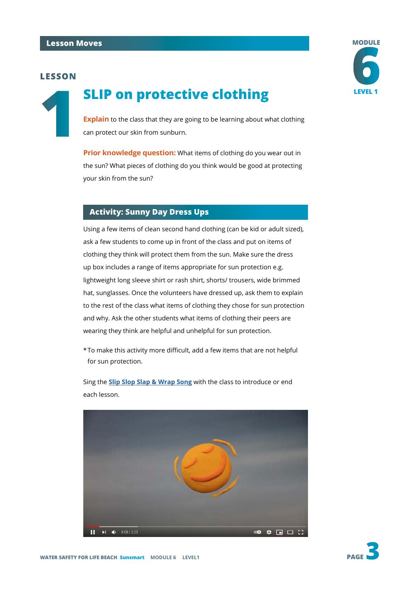## **1SLIP on protective clothing**



**Explain** to the class that they are going to be learning about what clothing can protect our skin from sunburn.

**Prior knowledge question:** What items of clothing do you wear out in the sun? What pieces of clothing do you think would be good at protecting your skin from the sun?

### **Activity: Sunny Day Dress Ups**

Using a few items of clean second hand clothing (can be kid or adult sized), ask a few students to come up in front of the class and put on items of clothing they think will protect them from the sun. Make sure the dress up box includes a range of items appropriate for sun protection e.g. lightweight long sleeve shirt or rash shirt, shorts/ trousers, wide brimmed hat, sunglasses. Once the volunteers have dressed up, ask them to explain to the rest of the class what items of clothing they chose for sun protection and why. Ask the other students what items of clothing their peers are wearing they think are helpful and unhelpful for sun protection.

\*To make this activity more difficult, add a few items that are not helpful for sun protection.

Sing the **[Slip Slop Slap & Wrap Song](https://www.youtube.com/watch?v=GKPP8qqA7cY)** with the class to introduce or end each lesson.



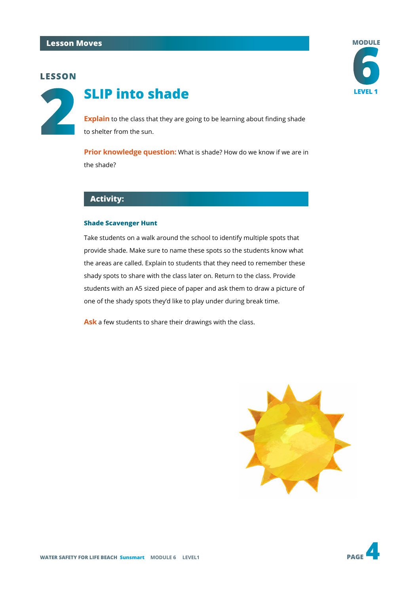

## **LEVEL 1 SLIP** into shade

**Explain** to the class that they are going to be learning about finding shade to shelter from the sun.

**Prior knowledge question:** What is shade? How do we know if we are in the shade?

## **Activity:**

#### **Shade Scavenger Hunt**

Take students on a walk around the school to identify multiple spots that provide shade. Make sure to name these spots so the students know what the areas are called. Explain to students that they need to remember these shady spots to share with the class later on. Return to the class. Provide students with an A5 sized piece of paper and ask them to draw a picture of one of the shady spots they'd like to play under during break time.

**Ask** a few students to share their drawings with the class.





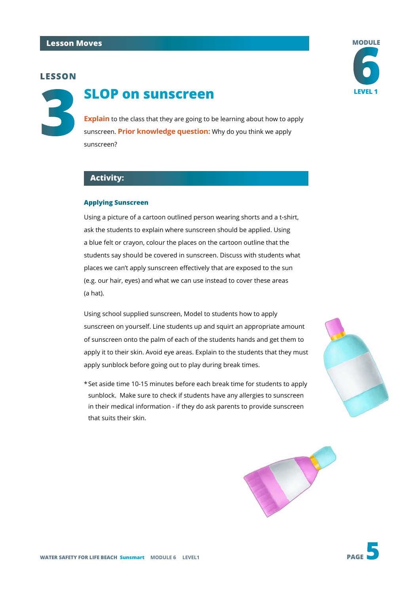**3**

## **SLOP on sunscreen LEVEL 1**

**Explain** to the class that they are going to be learning about how to apply sunscreen. **Prior knowledge question:** Why do you think we apply sunscreen?

#### **Activity:**

#### **Applying Sunscreen**

Using a picture of a cartoon outlined person wearing shorts and a t-shirt, ask the students to explain where sunscreen should be applied. Using a blue felt or crayon, colour the places on the cartoon outline that the students say should be covered in sunscreen. Discuss with students what places we can't apply sunscreen effectively that are exposed to the sun (e.g. our hair, eyes) and what we can use instead to cover these areas (a hat).

Using school supplied sunscreen, Model to students how to apply sunscreen on yourself. Line students up and squirt an appropriate amount of sunscreen onto the palm of each of the students hands and get them to apply it to their skin. Avoid eye areas. Explain to the students that they must apply sunblock before going out to play during break times.

\*Set aside time 10-15 minutes before each break time for students to apply sunblock. Make sure to check if students have any allergies to sunscreen in their medical information - if they do ask parents to provide sunscreen that suits their skin.